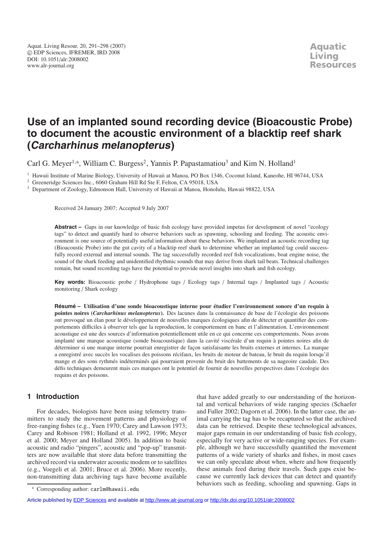# **Use of an implanted sound recording device (Bioacoustic Probe) to document the acoustic environment of a blacktip reef shark (Carcharhinus melanopterus)**

Carl G. Meyer<sup>1,a</sup>, William C. Burgess<sup>2</sup>, Yannis P. Papastamatiou<sup>3</sup> and Kim N. Holland<sup>1</sup>

<sup>1</sup> Hawaii Institute of Marine Biology, University of Hawaii at Manoa, PO Box 1346, Coconut Island, Kaneohe, HI 96744, USA

<sup>2</sup> Greeneridge Sciences Inc., 6060 Graham Hill Rd Ste F, Felton, CA 95018, USA

<sup>3</sup> Department of Zoology, Edmonson Hall, University of Hawaii at Manoa, Honolulu, Hawaii 98822, USA

Received 24 January 2007; Accepted 9 July 2007

**Abstract –** Gaps in our knowledge of basic fish ecology have provided impetus for development of novel "ecology tags" to detect and quantify hard to observe behaviors such as spawning, schooling and feeding. The acoustic environment is one source of potentially useful information about these behaviors. We implanted an acoustic recording tag (Bioacoustic Probe) into the gut cavity of a blacktip reef shark to determine whether an implanted tag could successfully record external and internal sounds. The tag successfully recorded reef fish vocalizations, boat engine noise, the sound of the shark feeding and unidentified rhythmic sounds that may derive from shark tail beats. Technical challenges remain, but sound recording tags have the potential to provide novel insights into shark and fish ecology.

**Key words:** Bioacoustic probe / Hydrophone tags / Ecology tags / Internal tags / Implanted tags / Acoustic monitoring / Shark ecology

**Résumé – Utilisation d'une sonde bioacoustique interne pour étudier l'environnement sonore d'un requin à pointes noires (***Carcharhinus melanopterus***).** Des lacunes dans la connaissance de base de l'écologie des poissons ont provoqué un élan pour le développement de nouvelles marques écologiques afin de détecter et quantifier des comportements difficiles à observer tels que la reproduction, le comportement en banc et l'alimentation. L'environnement acoustique est une des sources d'information potentiellement utile en ce qui concerne ces comportements. Nous avons implanté une marque acoustique (sonde bioacoustique) dans la cavité viscérale d'un requin à pointes noires afin de déterminer si une marque interne pourrait enregistrer de façon satisfaisante les bruits externes et internes. La marque a enregistré avec succès les vocalises des poissons récifaux, les bruits de moteur de bateau, le bruit du requin lorsqu'il mange et des sons rythmés indéterminés qui pourraient provenir du bruit des battements de sa nageoire caudale. Des défis techniques demeurent mais ces marques ont le potentiel de fournir de nouvelles perspectives dans l'écologie des requins et des poissons.

## **1 Introduction**

For decades, biologists have been using telemetry transmitters to study the movement patterns and physiology of free-ranging fishes (e.g., Yuen 1970; Carey and Lawson 1973; Carey and Robison 1981; Holland et al. 1992, 1996; Meyer et al. 2000; Meyer and Holland 2005). In addition to basic acoustic and radio "pingers", acoustic and "pop-up" transmitters are now available that store data before transmitting the archived record via underwater acoustic modem or to satellites (e.g., Voegeli et al. 2001; Bruce et al. 2006). More recently, non-transmitting data archiving tags have become available

that have added greatly to our understanding of the horizontal and vertical behaviors of wide ranging species (Schaefer and Fuller 2002; Dagorn et al. 2006). In the latter case, the animal carrying the tag has to be recaptured so that the archived data can be retrieved. Despite these technological advances, major gaps remain in our understanding of basic fish ecology, especially for very active or wide-ranging species. For example, although we have successfully quantified the movement patterns of a wide variety of sharks and fishes, in most cases we can only speculate about when, where and how frequently these animals feed during their travels. Such gaps exist because we currently lack devices that can detect and quantify behaviors such as feeding, schooling and spawning. Gaps in

<sup>a</sup> Corresponding author: carlm@hawaii.edu

Article published by [EDP Sciences](http://www.edpsciences.org) and available at<http://www.alr-journal.org> or <http://dx.doi.org/10.1051/alr:2008002>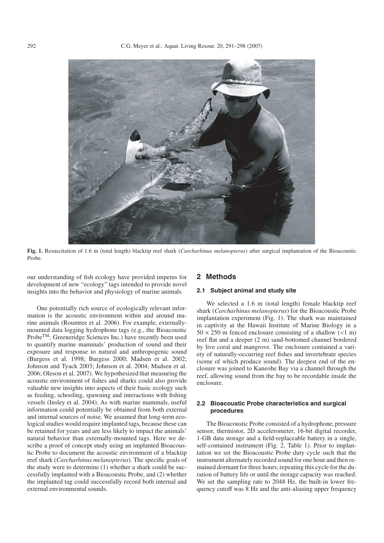

**Fig. 1.** Resuscitation of 1.6 m (total length) blacktip reef shark (*Carcharhinus melanopterus*) after surgical implantation of the Bioacoustic Probe.

our understanding of fish ecology have provided impetus for development of new "ecology" tags intended to provide novel insights into the behavior and physiology of marine animals.

One potentially rich source of ecologically relevant information is the acoustic environment within and around marine animals (Rountree et al. 2006). For example, externallymounted data logging hydrophone tags (e.g., the Bioacoustic Probe™; Greeneridge Sciences Inc.) have recently been used to quantify marine mammals' production of sound and their exposure and response to natural and anthropogenic sound (Burgess et al. 1998; Burgess 2000; Madsen et al. 2002; Johnson and Tyack 2003; Johnson et al. 2004; Madsen et al. 2006; Oleson et al. 2007). We hypothesized that measuring the acoustic environment of fishes and sharks could also provide valuable new insights into aspects of their basic ecology such as feeding, schooling, spawning and interactions with fishing vessels (Insley et al. 2004). As with marine mammals, useful information could potentially be obtained from both external and internal sources of noise. We assumed that long-term ecological studies would require implanted tags, because these can be retained for years and are less likely to impact the animals' natural behavior than externally-mounted tags. Here we describe a proof of concept study using an implanted Bioacoustic Probe to document the acoustic environment of a blacktip reef shark (*Carcharhinus melanopterus*). The specific goals of the study were to determine (1) whether a shark could be successfully implanted with a Bioacoustic Probe, and (2) whether the implanted tag could successfully record both internal and external environmental sounds.

### **2 Methods**

#### **2.1 Subject animal and study site**

We selected a 1.6 m (total length) female blacktip reef shark (*Carcharhinus melanopterus*) for the Bioacoustic Probe implantation experiment (Fig. 1). The shark was maintained in captivity at the Hawaii Institute of Marine Biology in a  $50 \times 250$  m fenced enclosure consisting of a shallow  $(< 1$  m) reef flat and a deeper (2 m) sand-bottomed channel bordered by live coral and mangrove. The enclosure contained a variety of naturally-occurring reef fishes and invertebrate species (some of which produce sound). The deepest end of the enclosure was joined to Kaneohe Bay via a channel through the reef, allowing sound from the bay to be recordable inside the enclosure.

#### **2.2 Bioacoustic Probe characteristics and surgical procedures**

The Bioacoustic Probe consisted of a hydrophone, pressure sensor, thermistor, 2D accelerometer, 16-bit digital recorder, 1-GB data storage and a field-replaceable battery in a single, self-contained instrument (Fig. 2, Table 1). Prior to implantation we set the Bioacoustic Probe duty cycle such that the instrument alternately recorded sound for one hour and then remained dormant for three hours, repeating this cycle for the duration of battery life or until the storage capacity was reached. We set the sampling rate to 2048 Hz, the built-in lower frequency cutoff was 8 Hz and the anti-aliasing upper frequency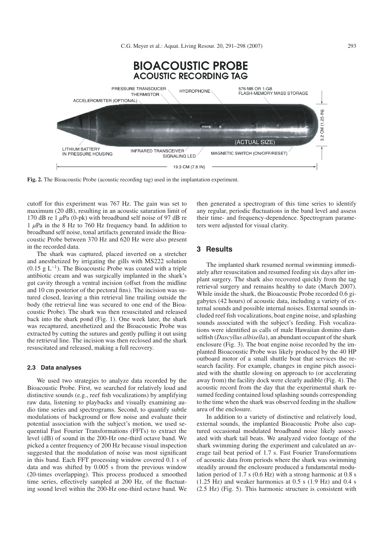C.G. Meyer et al.: Aquat. Living Resour. 20, 291–298 (2007) 293



**Fig. 2.** The Bioacoustic Probe (acoustic recording tag) used in the implantation experiment.

cutoff for this experiment was 767 Hz. The gain was set to maximum (20 dB), resulting in an acoustic saturation limit of 170 dB re 1  $\mu$ Pa (0-pk) with broadband self noise of 97 dB re 1  $\mu$ Pa in the 8 Hz to 760 Hz frequency band. In addition to broadband self noise, tonal artifacts generated inside the Bioacoustic Probe between 370 Hz and 620 Hz were also present in the recorded data.

The shark was captured, placed inverted on a stretcher and anesthetized by irrigating the gills with MS222 solution (0.15 g  $L^{-1}$ ). The Bioacoustic Probe was coated with a triple antibiotic cream and was surgically implanted in the shark's gut cavity through a ventral incision (offset from the midline and 10 cm posterior of the pectoral fins). The incision was sutured closed, leaving a thin retrieval line trailing outside the body (the retrieval line was secured to one end of the Bioacoustic Probe). The shark was then resuscitated and released back into the shark pond (Fig. 1). One week later, the shark was recaptured, anesthetized and the Bioacoustic Probe was extracted by cutting the sutures and gently pulling it out using the retrieval line. The incision was then reclosed and the shark resuscitated and released, making a full recovery.

#### **2.3 Data analyses**

We used two strategies to analyze data recorded by the Bioacoustic Probe. First, we searched for relatively loud and distinctive sounds (e.g., reef fish vocalizations) by amplifying raw data, listening to playbacks and visually examining audio time series and spectrograms. Second, to quantify subtle modulations of background or flow noise and evaluate their potential association with the subject's motion, we used sequential Fast Fourier Transformations (FFTs) to extract the level (dB) of sound in the 200-Hz one-third octave band. We picked a center frequency of 200 Hz because visual inspection suggested that the modulation of noise was most significant in this band. Each FFT processing window covered 0.1 s of data and was shifted by 0.005 s from the previous window (20-times overlapping). This process produced a smoothed time series, effectively sampled at 200 Hz, of the fluctuating sound level within the 200-Hz one-third octave band. We

then generated a spectrogram of this time series to identify any regular, periodic fluctuations in the band level and assess their time- and frequency-dependence. Spectrogram parameters were adjusted for visual clarity.

# **3 Results**

The implanted shark resumed normal swimming immediately after resuscitation and resumed feeding six days after implant surgery. The shark also recovered quickly from the tag retrieval surgery and remains healthy to date (March 2007). While inside the shark, the Bioacoustic Probe recorded 0.6 gigabytes (42 hours) of acoustic data, including a variety of external sounds and possible internal noises. External sounds included reef fish vocalizations, boat engine noise, and splashing sounds associated with the subject's feeding. Fish vocalizations were identified as calls of male Hawaiian domino damselfish (*Dascyllus albisella*), an abundant occupant of the shark enclosure (Fig. 3). The boat engine noise recorded by the implanted Bioacoustic Probe was likely produced by the 40 HP outboard motor of a small shuttle boat that services the research facility. For example, changes in engine pitch associated with the shuttle slowing on approach to (or accelerating away from) the facility dock were clearly audible (Fig. 4). The acoustic record from the day that the experimental shark resumed feeding contained loud splashing sounds corresponding to the time when the shark was observed feeding in the shallow area of the enclosure.

In addition to a variety of distinctive and relatively loud, external sounds, the implanted Bioacoustic Probe also captured occasional modulated broadband noise likely associated with shark tail beats. We analyzed video footage of the shark swimming during the experiment and calculated an average tail beat period of 1.7 s. Fast Fourier Transformations of acoustic data from periods where the shark was swimming steadily around the enclosure produced a fundamental modulation period of 1.7 s (0.6 Hz) with a strong harmonic at 0.8 s  $(1.25 \text{ Hz})$  and weaker harmonics at 0.5 s  $(1.9 \text{ Hz})$  and 0.4 s (2.5 Hz) (Fig. 5). This harmonic structure is consistent with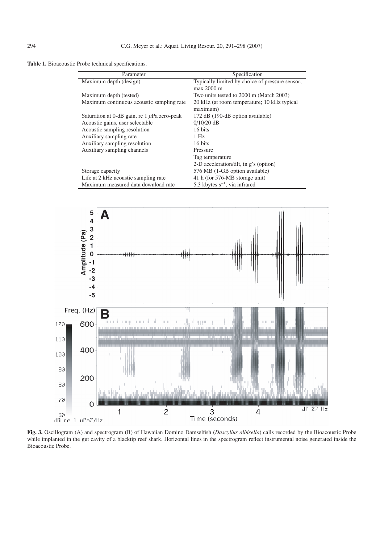**Table 1.** Bioacoustic Probe technical specifications.

| Parameter                                        | Specification                                                   |
|--------------------------------------------------|-----------------------------------------------------------------|
| Maximum depth (design)                           | Typically limited by choice of pressure sensor;<br>$max$ 2000 m |
| Maximum depth (tested)                           | Two units tested to 2000 m (March 2003)                         |
| Maximum continuous acoustic sampling rate        | 20 kHz (at room temperature; 10 kHz typical<br>maximum)         |
| Saturation at 0-dB gain, re 1 $\mu$ Pa zero-peak | 172 dB (190-dB option available)                                |
| Acoustic gains, user selectable                  | $0/10/20$ dB                                                    |
| Acoustic sampling resolution                     | 16 bits                                                         |
| Auxiliary sampling rate                          | $1$ Hz                                                          |
| Auxiliary sampling resolution                    | 16 bits                                                         |
| Auxiliary sampling channels                      | Pressure                                                        |
|                                                  | Tag temperature                                                 |
|                                                  | 2-D acceleration/tilt, in g's (option)                          |
| Storage capacity                                 | 576 MB (1-GB option available)                                  |
| Life at 2 kHz acoustic sampling rate             | 41 h (for 576-MB storage unit)                                  |
| Maximum measured data download rate              | 5.3 kbytes $s^{-1}$ , via infrared                              |



**Fig. 3.** Oscillogram (A) and spectrogram (B) of Hawaiian Domino Damselfish (*Dascyllus albisella*) calls recorded by the Bioacoustic Probe while implanted in the gut cavity of a blacktip reef shark. Horizontal lines in the spectrogram reflect instrumental noise generated inside the Bioacoustic Probe.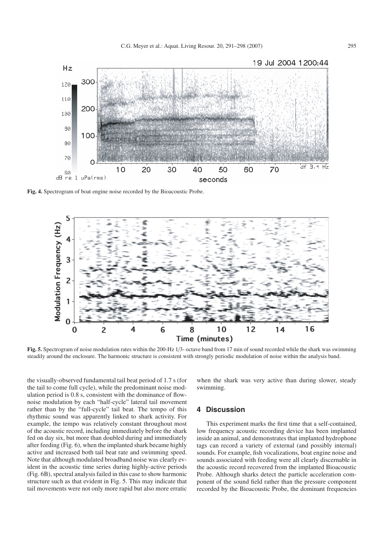C.G. Meyer et al.: Aquat. Living Resour. 20, 291–298 (2007) 295



**Fig. 4.** Spectrogram of boat engine noise recorded by the Bioacoustic Probe.

![](_page_4_Figure_3.jpeg)

**Fig. 5.** Spectrogram of noise modulation rates within the 200-Hz 1/3- octave band from 17 min of sound recorded while the shark was swimming steadily around the enclosure. The harmonic structure is consistent with strongly periodic modulation of noise within the analysis band.

the visually-observed fundamental tail beat period of 1.7 s (for the tail to come full cycle), while the predominant noise modulation period is 0.8 s, consistent with the dominance of flownoise modulation by each "half-cycle" lateral tail movement rather than by the "full-cycle" tail beat. The tempo of this rhythmic sound was apparently linked to shark activity. For example, the tempo was relatively constant throughout most of the acoustic record, including immediately before the shark fed on day six, but more than doubled during and immediately after feeding (Fig. 6), when the implanted shark became highly active and increased both tail beat rate and swimming speed. Note that although modulated broadband noise was clearly evident in the acoustic time series during highly-active periods (Fig. 6B), spectral analysis failed in this case to show harmonic structure such as that evident in Fig. 5. This may indicate that tail movements were not only more rapid but also more erratic

when the shark was very active than during slower, steady swimming.

## **4 Discussion**

This experiment marks the first time that a self-contained, low frequency acoustic recording device has been implanted inside an animal, and demonstrates that implanted hydrophone tags can record a variety of external (and possibly internal) sounds. For example, fish vocalizations, boat engine noise and sounds associated with feeding were all clearly discernable in the acoustic record recovered from the implanted Bioacoustic Probe. Although sharks detect the particle acceleration component of the sound field rather than the pressure component recorded by the Bioacoustic Probe, the dominant frequencies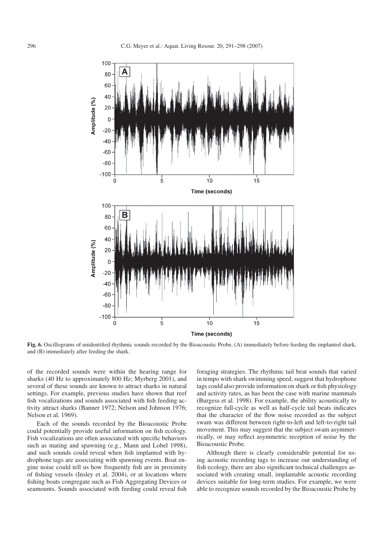![](_page_5_Figure_2.jpeg)

**Fig. 6.** Oscillograms of unidentified rhythmic sounds recorded by the Bioacoustic Probe, (A) immediately before feeding the implanted shark, and (B) immediately after feeding the shark.

of the recorded sounds were within the hearing range for sharks (40 Hz to approximately 800 Hz; Myrberg 2001), and several of these sounds are known to attract sharks in natural settings. For example, previous studies have shown that reef fish vocalizations and sounds associated with fish feeding activity attract sharks (Banner 1972; Nelson and Johnson 1976; Nelson et al. 1969).

Each of the sounds recorded by the Bioacoustic Probe could potentially provide useful information on fish ecology. Fish vocalizations are often associated with specific behaviors such as mating and spawning (e.g., Mann and Lobel 1998), and such sounds could reveal when fish implanted with hydrophone tags are associating with spawning events. Boat engine noise could tell us how frequently fish are in proximity of fishing vessels (Insley et al. 2004), or at locations where fishing boats congregate such as Fish Aggregating Devices or seamounts. Sounds associated with feeding could reveal fish

foraging strategies. The rhythmic tail beat sounds that varied in tempo with shark swimming speed, suggest that hydrophone tags could also provide information on shark or fish physiology and activity rates, as has been the case with marine mammals (Burgess et al. 1998). For example, the ability acoustically to recognize full-cycle as well as half-cycle tail beats indicates that the character of the flow noise recorded as the subject swam was different between right-to-left and left-to-right tail movement. This may suggest that the subject swam asymmetrically, or may reflect asymmetric reception of noise by the Bioacoustic Probe.

Although there is clearly considerable potential for using acoustic recording tags to increase our understanding of fish ecology, there are also significant technical challenges associated with creating small, implantable acoustic recording devices suitable for long-term studies. For example, we were able to recognize sounds recorded by the Bioacoustic Probe by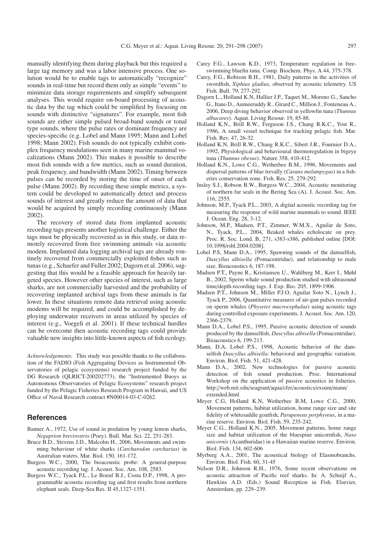manually identifying them during playback but this required a large tag memory and was a labor intensive process. One solution would be to enable tags to automatically "recognize" sounds in real-time but record them only as simple "events" to minimize data storage requirements and simplify subsequent analyses. This would require on-board processing of acoustic data by the tag which could be simplified by focusing on sounds with distinctive "signatures". For example, most fish sounds are either simple pulsed broad-band sounds or tonal type sounds, where the pulse rates or dominant frequency are species-specific (e.g. Lobel and Mann 1995; Mann and Lobel 1998; Mann 2002). Fish sounds do not typically exhibit complex frequency modulations seen in many marine mammal vocalizations (Mann 2002). This makes it possible to describe most fish sounds with a few metrics, such as sound duration, peak frequency, and bandwidth (Mann 2002). Timing between pulses can be recorded by storing the time of onset of each pulse (Mann 2002). By recording these simple metrics, a system could be developed to automatically detect and process sounds of interest and greatly reduce the amount of data that would be acquired by simply recording continuously (Mann 2002).

The recovery of stored data from implanted acoustic recording tags presents another logistical challenge. Either the tags must be physically recovered as in this study, or data remotely recovered from free swimming animals via acoustic modem. Implanted data logging archival tags are already routinely recovered from commercially exploited fishes such as tunas (e.g., Schaefer and Fuller 2002; Dagorn et al. 2006), suggesting that this would be a feasible approach for heavily targeted species. However other species of interest, such as large sharks, are not commercially harvested and the probability of recovering implanted archival tags from these animals is far lower. In these situations remote data retrieval using acoustic modems will be required, and could be accomplished by deploying underwater receivers in areas utilized by species of interest (e.g., Voegeli et al. 2001). If these technical hurdles can be overcome then acoustic recording tags could provide valuable new insights into little-known aspects of fish ecology.

*Acknowledgements.* This study was possible thanks to the collaboration of the FADIO (Fish Aggregating Devices as Instrumented Observatories of pelagic ecosystems) research project funded by the DG Research (QLRICT-200202773), the "Instrumented Buoys as Autonomous Observatories of Pelagic Ecosystems" research project funded by the Pelagic Fisheries Research Program in Hawaii, and US Office of Naval Research contract #N00014-03-C-0262.

## **References**

- Banner A., 1972, Use of sound in predation by young lemon sharks, *Negaprion brevirostris* (Poey). Bull. Mar. Sci. 22, 251-283.
- Bruce B.D., Stevens J.D., Malcolm H., 2006, Movements and swimming behaviour of white sharks (*Carcharodon carcharias*) in Australian waters. Mar. Biol. 150, 161-172.
- Burgess W.C., 2000, The bioacoustic probe: A general-purpose acoustic recording tag. J. Acoust. Soc. Am. 108, 2583.
- Burgess W.C., Tyack P.L., Le Boeuf B.J., Costa D.P., 1998, A programmable acoustic recording tag and first results from northern elephant seals. Deep-Sea Res. II 45,1327-1351.
- Carey F.G., Lawson K.D., 1973, Temperature regulation in freeswimming bluefin tuna. Comp. Biochem. Phys. A 44, 375-378.
- Carey, F.G., Robison B.H., 1981, Daily patterns in the activities of swordfish, *Xiphias gladius*, observed by acoustic telemetry. US Fish. Bull. 79, 277-292.
- Dagorn L., Holland K.N, Hallier J.P., Taquet M., Moreno G., Sancho G., Itano D., Aumeeruddy R., Girard C., Million J., Fonteneau A., 2006, Deep diving behavior observed in yellowfin tuna (*Thunnus albacares*). Aquat. Living Resour. 19, 85-88.
- Holland K.N., Brill R.W., Ferguson J.S., Chang R.K.C., Yost R., 1986, A small vessel technique for tracking pelagic fish. Mar. Fish. Rev. 47, 26-32.
- Holland K.N, Brill R.W., Chang R.K.C., Sibert J.R., Fournier D.A., 1992, Physiological and behavioural thermoregulation in bigeye tuna (*Thunnus obesus*). Nature 358, 410-412.
- Holland K.N., Lowe C.G., Wetherbee B.M., 1996, Movements and dispersal patterns of blue trevally (*Caranx melampygus*) in a fisheries conservation zone. Fish. Res. 25, 279-292.
- Insley S.J., Robson B.W., Burgess W.C., 2004, Acoustic monitoring of northern fur seals in the Bering Sea (A). J. Acoust. Soc. Am. 116, 2555.
- Johnson, M.P., Tyack P.L., 2003, A digital acoustic recording tag for measuring the response of wild marine mammals to sound. IEEE J. Ocean. Eng. 28, 3-12.
- Johnson, M.P., Madsen, P.T., Zimmer, W.M.X., Aguilar de Soto, N., Tyack, P.L., 2004, Beaked whales echolocate on prey. Proc. R. Soc. Lond. B, 271, s383-s386, published online [DOI: 10.1098/rsbl.2004.0208].
- Lobel P.S, Mann D.A., 1995, Spawning sounds of the damselfish, *Dascyllus albisella* (Pomacentridae), and relationship to male size. Bioacoustics 6, 187-198.
- Madsen P.T., Payne R., Kristiansen U., Wahlberg M., Kerr I., Møhl B., 2002, Sperm whale sound production studied with ultrasound time/depth-recording tags. J. Exp. Bio. 205, 1899-1906.
- Madsen P.T., Johnson M., Miller P.J.O, Aguilar Soto N., Lynch J., Tyack P., 2006, Quantitative measures of air-gun pulses recorded on sperm whales (*Physeter macrocephalus*) using acoustic tags during controlled exposure experiments. J. Acoust. Soc. Am. 120, 2366-2379.
- Mann D.A., Lobel P.S., 1995, Passive acoustic detection of sounds produced by the damselfish, *Dascyllus albisella* (Pomacentridae). Bioacoustics 6, 199-213.
- Mann, D.A, Lobel P.S., 1998, Acoustic behavior of the damselfish *Dascyllus albisella*: behavioral and geographic variation. Environ. Biol. Fish. 51, 421-428.
- Mann D.A., 2002, New technologies for passive acoustic detection of fish sound production. Proc. International Workshop on the application of passive acoustics in fisheries. http://web.mit.edu/seagrant/aqua/cfer/acoustics/exsum/mann/ extended.html
- Meyer C.G, Holland K.N, Wetherbee B.M, Lowe C.G., 2000, Movement patterns, habitat utilization, home range size and site fidelity of whitesaddle goatfish, *Parupeneus porphyreus*, in a marine reserve. Environ. Biol. Fish. 59, 235-242.
- Meyer C.G., Holland K.N., 2005, Movement patterns, home range size and habitat utilization of the bluespine unicornfish, *Naso unicornis* (Acanthuridae) in a Hawaiian marine reserve. Environ. Biol. Fish. 134, 602-606
- Myrberg A.A., 2001, The acoustical biology of Elasmobranchs. Environ. Biol. Fish. 60, 31-45
- Nelson D.R., Johnson R.H., 1976, Some recent observations on acoustic attraction of Pacific reef sharks. In: A. Schuijf A., Hawkins A.D. (Eds.) Sound Reception in Fish. Elsevier, Amsterdam, pp. 229–239.